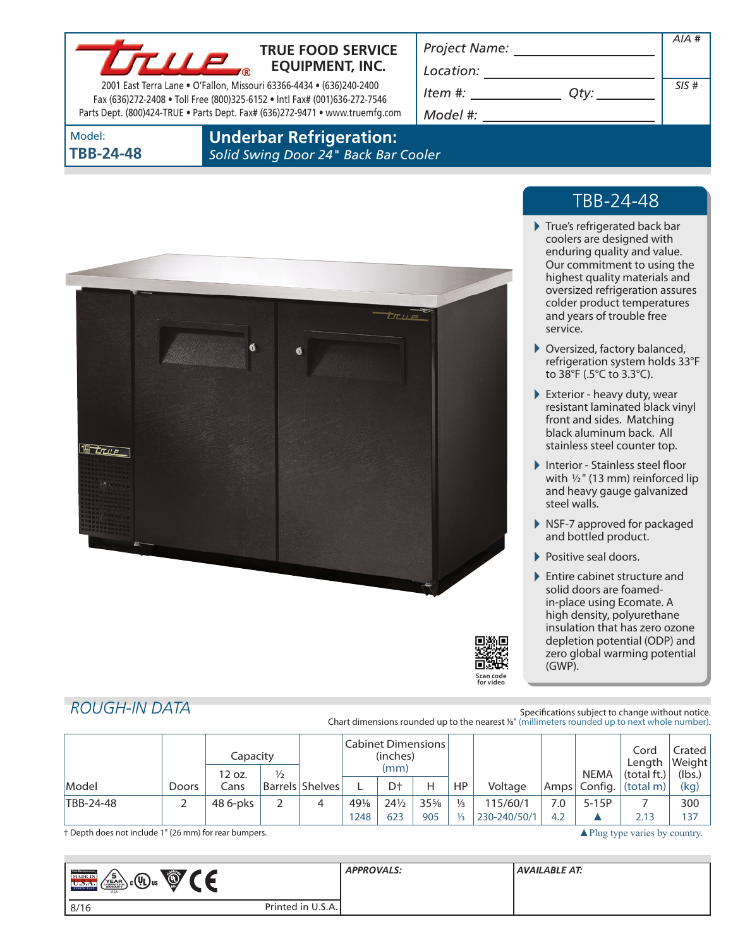

### **TRUE FOOD SERVICE EQUIPMENT, INC.**

2001 East Terra Lane • O'Fallon, Missouri 63366-4434 • (636)240-2400 Fax (636)272-2408 • Toll Free (800)325-6152 • Intl Fax# (001)636-272-7546 Parts Dept. (800)424-TRUE • Parts Dept. Fax# (636)272-9471 • www.truemfg.com *Project Name:*

*Location:*

| Item #:  |  |
|----------|--|
| Model #: |  |

| Qty: | SIS# |
|------|------|
|      |      |

*AIA #*

Model: **TBB-24-48** **Underbar Refrigeration:**

*Solid Swing Door 24" Back Bar Cooler*





# TBB-24-48

- True's refrigerated back bar coolers are designed with enduring quality and value. Our commitment to using the highest quality materials and oversized refrigeration assures colder product temperatures and years of trouble free service.
- Oversized, factory balanced, refrigeration system holds 33°F to 38°F (.5°C to 3.3°C).
- Exterior heavy duty, wear resistant laminated black vinyl front and sides. Matching black aluminum back. All stainless steel counter top.
- Interior Stainless steel floor with  $1/2$ " (13 mm) reinforced lip and heavy gauge galvanized steel walls.
- ▶ NSF-7 approved for packaged and bottled product.
- Positive seal doors.

▶ Entire cabinet structure and solid doors are foamedin-place using Ecomate. A high density, polyurethane insulation that has zero ozone depletion potential (ODP) and zero global warming potential (GWP).

# *ROUGH-IN DATA*

Specifications subject to change without notice. Chart dimensions rounded up to the nearest %" (millimeters rounded up to next whole number).

|           |              | Capacity<br>12 oz. | $\frac{1}{2}$ |                   | Cabinet Dimensions<br>(inches)<br>(mm) |                 |     |               |              | <b>NEMA</b> | Cord<br>Length<br>(total ft.) | Crated I<br> Weight <br>(lbs.) |      |
|-----------|--------------|--------------------|---------------|-------------------|----------------------------------------|-----------------|-----|---------------|--------------|-------------|-------------------------------|--------------------------------|------|
| Model     | <b>Doors</b> | Cans               |               | Barrels   Shelves |                                        | Dt              | Н   | <b>HP</b>     | Voltage      | Amps        | Config.                       | (total m)                      | (kg) |
| TBB-24-48 |              | 48 6-pks           |               | 4                 | 49%                                    | $24\frac{1}{2}$ | 35% | $\frac{1}{3}$ | 115/60/1     | 7.0         | $5-15P$                       |                                | 300  |
|           |              |                    |               |                   | 248                                    | 623             | 905 | 1/2           | 230-240/50/1 | 4.2         |                               | 2.13                           | 137  |

† Depth does not include 1" (26 mm) for rear bumpers. 
■Plug type varies by country.

| <b>TRIK REPERENTION</b><br><b>Example</b><br>. .<br>15<br>յշ $(\mathbb{U})$ տ<br><b>MADE IN</b><br>YEAR<br>SINCE 1945<br><b>USA</b> |                   | <b>APPROVALS:</b> | AVAILABLE AT: |
|-------------------------------------------------------------------------------------------------------------------------------------|-------------------|-------------------|---------------|
| 8/16                                                                                                                                | Printed in U.S.A. |                   |               |